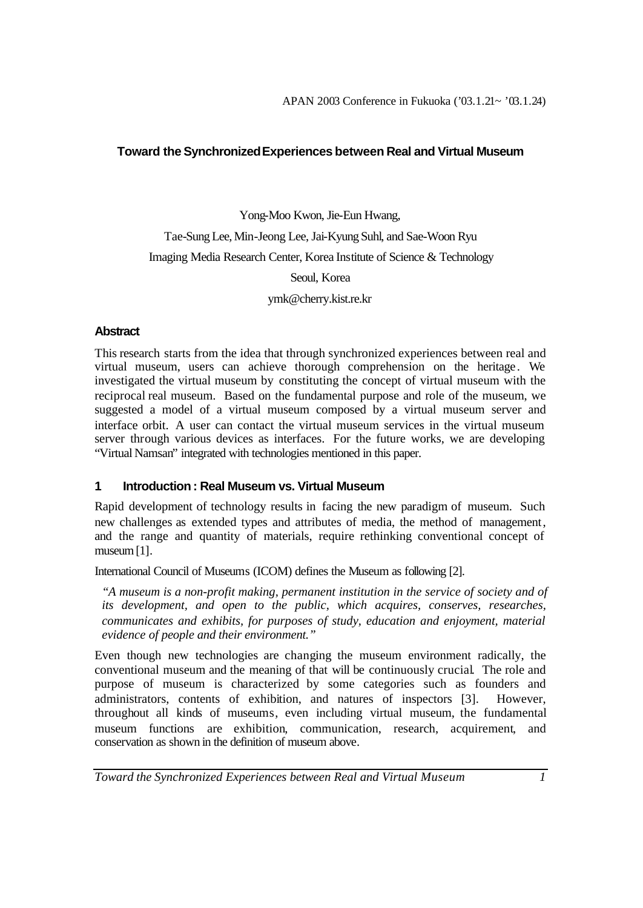# **Toward the Synchronized Experiences between Real and Virtual Museum**

Yong-Moo Kwon, Jie-Eun Hwang, Tae-Sung Lee, Min-Jeong Lee, Jai-Kyung Suhl, and Sae-Woon Ryu Imaging Media Research Center, Korea Institute of Science & Technology Seoul, Korea ymk@cherry.kist.re.kr

#### **Abstract**

This research starts from the idea that through synchronized experiences between real and virtual museum, users can achieve thorough comprehension on the heritage. We investigated the virtual museum by constituting the concept of virtual museum with the reciprocal real museum. Based on the fundamental purpose and role of the museum, we suggested a model of a virtual museum composed by a virtual museum server and interface orbit. A user can contact the virtual museum services in the virtual museum server through various devices as interfaces. For the future works, we are developing "Virtual Namsan" integrated with technologies mentioned in this paper.

# **1 Introduction : Real Museum vs. Virtual Museum**

Rapid development of technology results in facing the new paradigm of museum. Such new challenges as extended types and attributes of media, the method of management, and the range and quantity of materials, require rethinking conventional concept of museum [1].

International Council of Museums (ICOM) defines the Museum as following [2].

*"A museum is a non-profit making, permanent institution in the service of society and of its development, and open to the public, which acquires, conserves, researches, communicates and exhibits, for purposes of study, education and enjoyment, material evidence of people and their environment."*

Even though new technologies are changing the museum environment radically, the conventional museum and the meaning of that will be continuously crucial. The role and purpose of museum is characterized by some categories such as founders and administrators, contents of exhibition, and natures of inspectors [3]. However, throughout all kinds of museums, even including virtual museum, the fundamental museum functions are exhibition, communication, research, acquirement, and conservation as shown in the definition of museum above.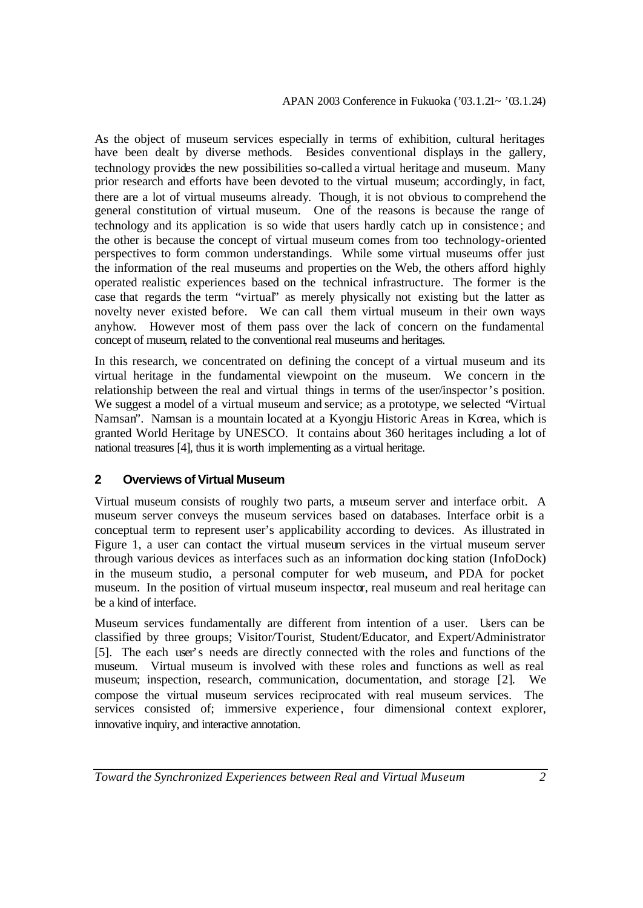As the object of museum services especially in terms of exhibition, cultural heritages have been dealt by diverse methods. Besides conventional displays in the gallery, technology provides the new possibilities so-called a virtual heritage and museum. Many prior research and efforts have been devoted to the virtual museum; accordingly, in fact, there are a lot of virtual museums already. Though, it is not obvious to comprehend the general constitution of virtual museum. One of the reasons is because the range of technology and its application is so wide that users hardly catch up in consistence ; and the other is because the concept of virtual museum comes from too technology-oriented perspectives to form common understandings. While some virtual museums offer just the information of the real museums and properties on the Web, the others afford highly operated realistic experiences based on the technical infrastructure. The former is the case that regards the term "virtual" as merely physically not existing but the latter as novelty never existed before. We can call them virtual museum in their own ways anyhow. However most of them pass over the lack of concern on the fundamental concept of museum, related to the conventional real museums and heritages.

In this research, we concentrated on defining the concept of a virtual museum and its virtual heritage in the fundamental viewpoint on the museum. We concern in the relationship between the real and virtual things in terms of the user/inspector's position. We suggest a model of a virtual museum and service; as a prototype, we selected "Virtual Namsan". Namsan is a mountain located at a Kyongju Historic Areas in Korea, which is granted World Heritage by UNESCO. It contains about 360 heritages including a lot of national treasures [4], thus it is worth implementing as a virtual heritage.

# **2 Overviews of Virtual Museum**

Virtual museum consists of roughly two parts, a museum server and interface orbit. A museum server conveys the museum services based on databases. Interface orbit is a conceptual term to represent user's applicability according to devices. As illustrated in Figure 1, a user can contact the virtual museum services in the virtual museum server through various devices as interfaces such as an information docking station (InfoDock) in the museum studio, a personal computer for web museum, and PDA for pocket museum. In the position of virtual museum inspector, real museum and real heritage can be a kind of interface.

Museum services fundamentally are different from intention of a user. Users can be classified by three groups; Visitor/Tourist, Student/Educator, and Expert/Administrator [5]. The each user's needs are directly connected with the roles and functions of the museum. Virtual museum is involved with these roles and functions as well as real museum; inspection, research, communication, documentation, and storage [2]. We compose the virtual museum services reciprocated with real museum services. The services consisted of; immersive experience, four dimensional context explorer, innovative inquiry, and interactive annotation.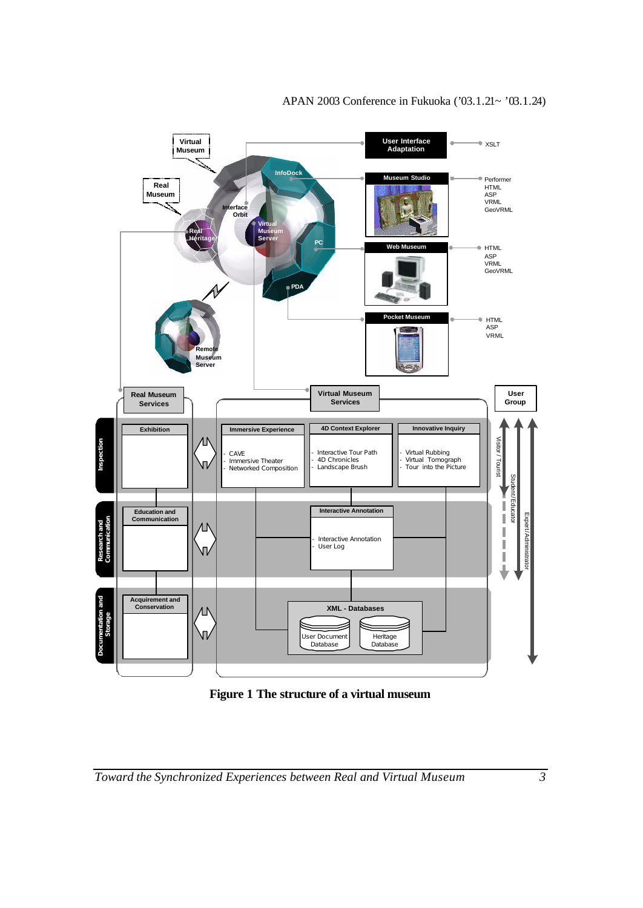

**Figure 1 The structure of a virtual museum**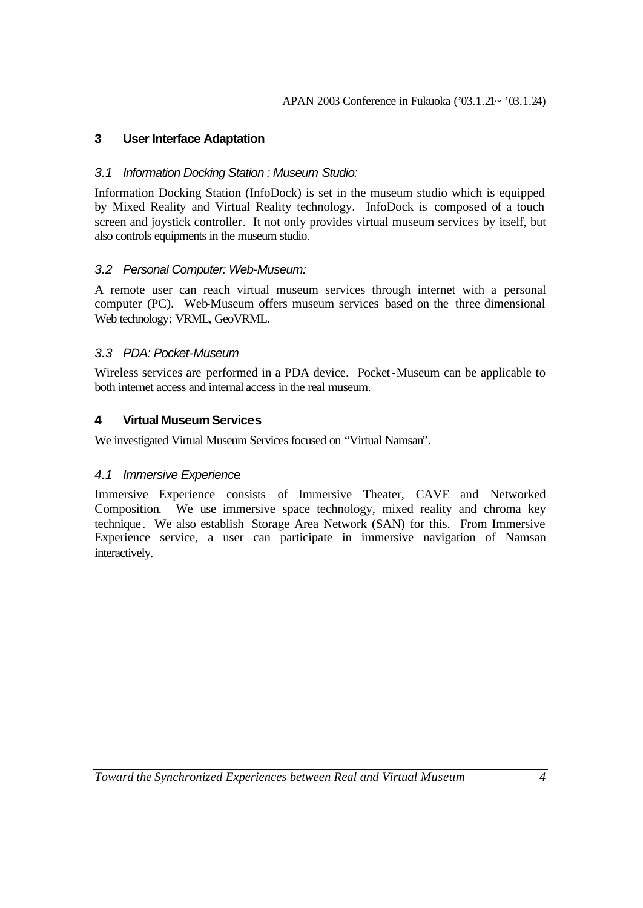# **3 User Interface Adaptation**

### *3.1 Information Docking Station : Museum Studio:*

Information Docking Station (InfoDock) is set in the museum studio which is equipped by Mixed Reality and Virtual Reality technology. InfoDock is composed of a touch screen and joystick controller. It not only provides virtual museum services by itself, but also controls equipments in the museum studio.

## *3.2 Personal Computer: Web-Museum:*

A remote user can reach virtual museum services through internet with a personal computer (PC). Web-Museum offers museum services based on the three dimensional Web technology; VRML, GeoVRML.

## *3.3 PDA: Pocket-Museum*

Wireless services are performed in a PDA device. Pocket-Museum can be applicable to both internet access and internal access in the real museum.

## **4 Virtual Museum Services**

We investigated Virtual Museum Services focused on "Virtual Namsan".

#### *4.1 Immersive Experience.*

Immersive Experience consists of Immersive Theater, CAVE and Networked Composition. We use immersive space technology, mixed reality and chroma key technique. We also establish Storage Area Network (SAN) for this. From Immersive Experience service, a user can participate in immersive navigation of Namsan interactively.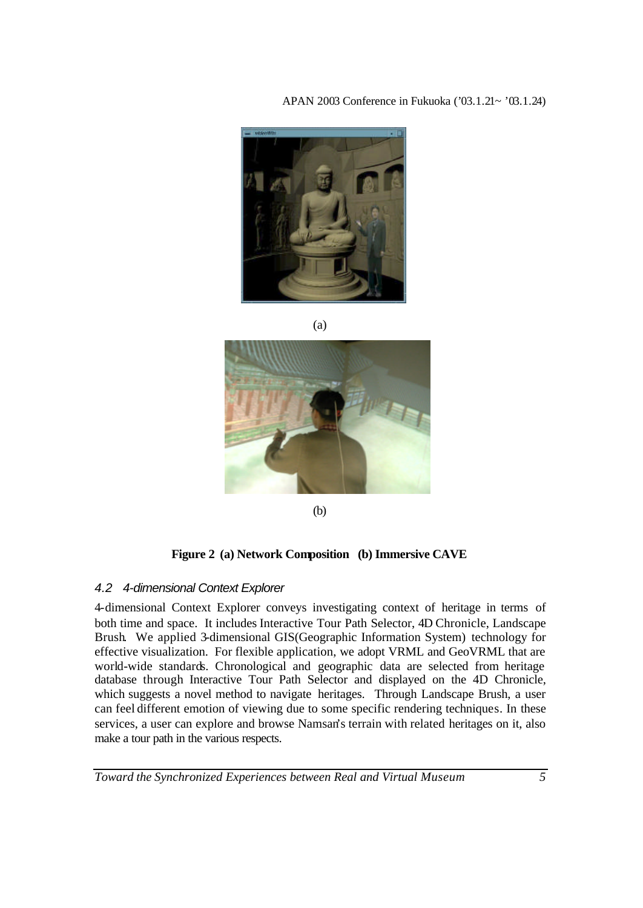### APAN 2003 Conference in Fukuoka ('03.1.21~ '03.1.24)



(a)



(b)

#### **Figure 2 (a) Network Composition (b) Immersive CAVE**

#### *4.2 4-dimensional Context Explorer*

4-dimensional Context Explorer conveys investigating context of heritage in terms of both time and space. It includes Interactive Tour Path Selector, 4D Chronicle, Landscape Brush. We applied 3-dimensional GIS(Geographic Information System) technology for effective visualization. For flexible application, we adopt VRML and GeoVRML that are world-wide standards. Chronological and geographic data are selected from heritage database through Interactive Tour Path Selector and displayed on the 4D Chronicle, which suggests a novel method to navigate heritages. Through Landscape Brush, a user can feel different emotion of viewing due to some specific rendering techniques. In these services, a user can explore and browse Namsan's terrain with related heritages on it, also make a tour path in the various respects.

*Toward the Synchronized Experiences between Real and Virtual Museum 5*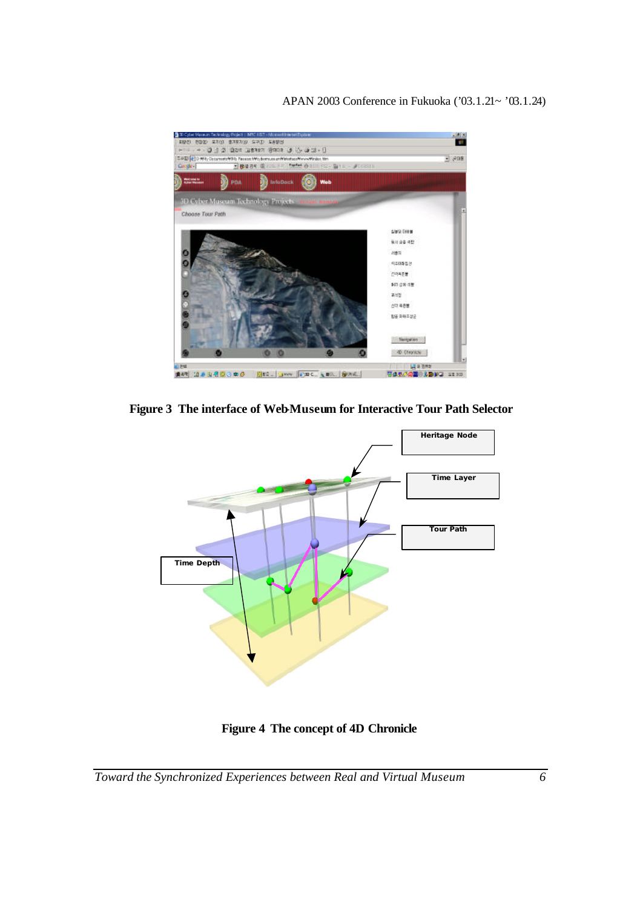

**Figure 3 The interface of Web-Museum for Interactive Tour Path Selector**



**Figure 4 The concept of 4D Chronicle**